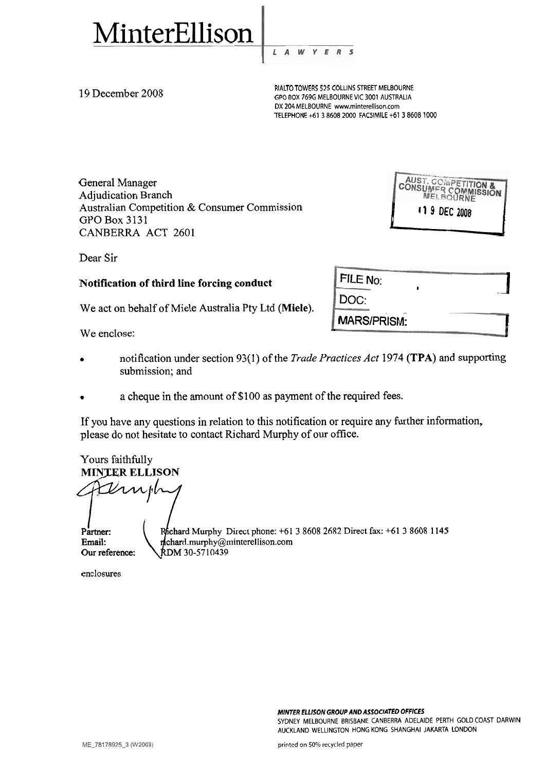

W L  $\overline{A}$ E

RIALTO TOWERS 525 COLLINS STREET MELBOURNE<br>GPO BOX 769G MELBOURNE VIC 3001 AUSTRALIA DX 204 MELBOURNE www.minterellison.com TELEPHONE +61 3 8608 2000 FACSIMILE +61 3 8608 1000

MARS/PRISM:

FILE No:

DOC:

General Manager Adjudication Branch Australian Competition & Consumer Commission GPO Box 3131 CANBERRA ACT 2601

BOURNE<br>
TRALIA<br>
161386081000<br>
19 DEC COMPETITION<br>
MEL BOURNE<br>
19 DEC 2008

 $\overline{\mathbf{I}}$ 

I

Dear Sir

# Notification of third line forcing conduct

We act on behalf of Miele Australia Pty Ltd (Miele).

We enclose:

- notification under section 93(1) of the *Trade Practices Act* 1974 *(TPA)* and supporting submission; and
- a cheque in the amount of \$100 as payment of the required fees.

If you have any questions in relation to this notification or require any further information, please do not hesitate to contact Richard Murphy of our office.

Yours faithfully • a cheque in the amount of<br>
If you have any questions in relatio<br>
please do not hesitate to contact Ric<br>
Yours faithfully<br> **MINTER ELLISON**<br>
MINTER ELLISON<br>
Partner:<br>
Partner:<br>
Partner:<br>
Frienail:<br>
Richard.murphy@min Partner: Rhichard Murphy Direct phone: +61 3 8608 2682 Direct fax: +61 3 8608 1145 Email:  $\leftarrow$  n chard.murphy@minterellison.com Our reference: \RDM 30-5710439

enclosures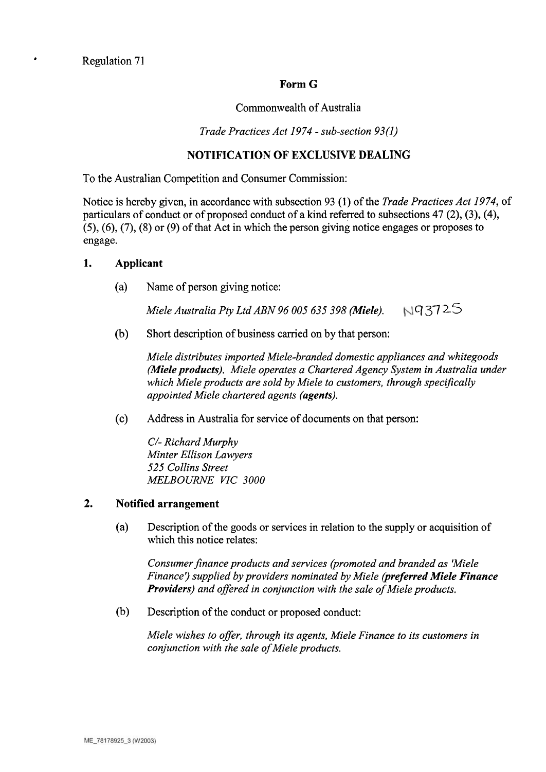Regulation 71

 $\bullet$ 

## **Form G**

#### Commonwealth of Australia

*Trade Practices Act 1974* - *sub-section 93(1)* 

# **NOTIFICATION OF EXCLUSIVE DEALING**

To the Australian Competition and Consumer Commission:

Notice is hereby given, in accordance with subsection 93 (1) of the *Trade Practices Act 1974,* of particulars of conduct or of proposed conduct of a kind referred to subsections  $47$  (2), (3), (4), **(5), (6),** (7), (8) or (9) of that Act in which the person giving notice engages or proposes to engage.

## **1. Applicant**

(a) Name of person giving notice:

*Miele Australia Pty Ltd ABN 96 005 635 398 (Miele).* q37 25

(b) Short description of business carried on by that person:

*Miele distributes imported Miele-branded domestic appliances and whitegoods (Miele products). Miele operates a Chartered Agency System in Australia under which Miele products are sold by Miele to customers, through specifically appointed Miele chartered agents (agents).* 

(c) Address in Australia for service of documents on that person:

*C/- Richard Murphy Minter Ellison Lawyers 525 Collins Street MELBOURNE V7C 3000* 

## **2. Notified arrangement**

(a) Description of the goods or services in relation to the supply or acquisition of which this notice relates:

*Consumer finance products and services (promoted and branded as 'Miele Finance')* supplied by providers nominated by Miele (preferred Miele Finance *Providers) and offered in conjunction with the sale of Miele products.* 

(b) Description of the conduct or proposed conduct:

*Miele wishes to offer, through its agents, Miele Finance to its customers in conjunction with the sale of Miele products.*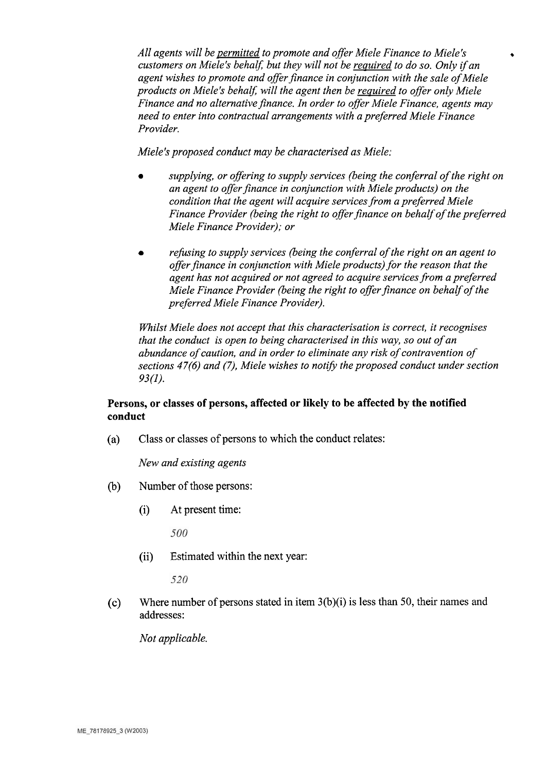*All agents will be permitted to promote and offer Miele Finance to Miele's customers on Miele's behalf, but they will not be required to do so. Only if an agent wishes to promote and offer finance in conjunction with the sale of Miele products on Miele's behalf, will the agent then be required to offer only Miele Finance and no alternative finance. In order to offer Miele Finance, agents may need to enter into contractual arrangements with a preferred Miele Finance Provider.* 

*Miele's proposed conduct may be characterised as Miele:* 

- *supplying, or offering to supply services (being the conferral of the right on an agent to offer finance in conjunction with Miele products) on the condition that the agent will acquire services from a preferred Miele Finance Provider (being the right to offer finance on behalf of the preferred Miele Finance Provider); or*
- *refusing to supply services (being the conferral of the right on an agent to offer finance in conjunction with Miele products) for the reason that the agent has not acquired or not agreed to acquire services from a preferred Miele Finance Provider (being the right to offer finance on behalf of the preferred Miele Finance Provider).*

*Whilst Miele does not accept that this characterisation is correct, it recognises that the conduct is open to being characterised in this way, so out of an abundance of caution, and in order to eliminate any risk of contravention of sections 47(6) and (7), Miele wishes to notify the proposed conduct under section 93(1).* 

## **Persons, or classes of persons, affected or likely to be affected by the notified conduct**

(a) Class or classes of persons to which the conduct relates:

*New and existing agents* 

- (b) Number of those persons:
	- (i) At present time:

500

(ii) Estimated within the next year:

520

(c) Where number of persons stated in item 3(b)(i) is less than 50, their names and addresses:

*Not applicable.*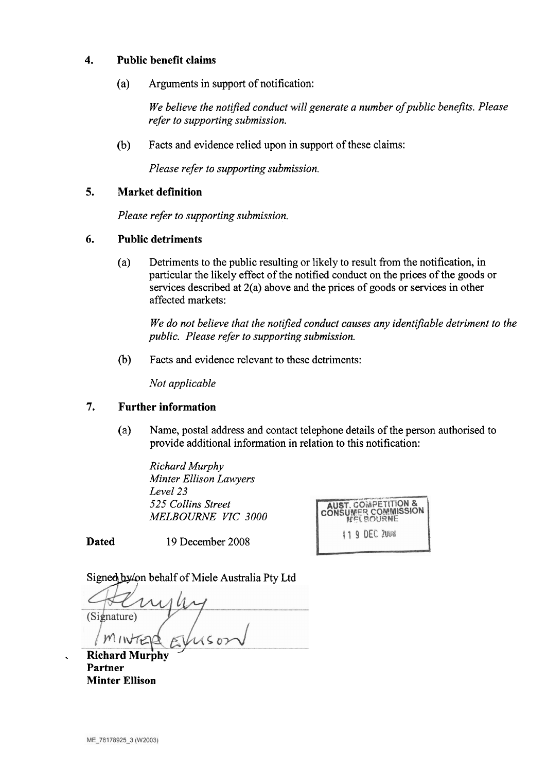# **4. Public benefit claims**

(a) Arguments in support of notification:

*We believe the notified conduct will generate a number ofpublic benefits. Please refer to supporting submission.* 

(b) Facts and evidence relied upon in support of these claims:

*Please refer to supporting submission.* 

# **5. Market definition**

*Please refer to supporting submission.* 

## **6. Public detriments**

(a) Detriments to the public resulting or likely to result from the notification, in particular the likely effect of the notified conduct on the prices of the goods or services described at 2(a) above and the prices of goods or services in other affected markets:

We do not believe that the notified conduct causes any identifiable detriment to the *public. Please refer to supporting submission.* 

(b) Facts and evidence relevant to these detriments:

*Not applicable* 

# **7. Further information**

(a) Name, postal address and contact telephone details of the person authorised to provide additional information in relation to this notification:

*Richard Murphy Minter Ellison Lawyers Level 23 525 Collins Street MELBOURNE VIC 3000* 

**AUST. COMPETITION &<br>CONSUMER COMMISSION** 119 DEC 2008

**Dated 19** December **2008** 

Signed by/on behalf of Miele Australia Pty Ltd

(Signature)

 $Richard Murphy$ **Partner Minter Ellison**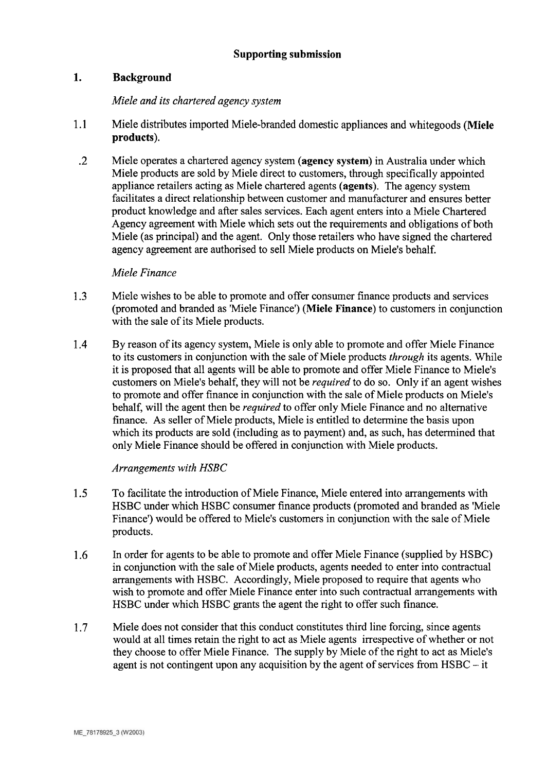# Supporting submission

# **1.** Background

### *Miele and its chartered agency system*

- 1.1 Miele distributes imported Miele-branded domestic appliances and whitegoods (Miele products).
	- .2 Miele operates a chartered agency system (agency system) in Australia under which Miele products are sold by Miele direct to customers, through specifically appointed appliance retailers acting as Miele chartered agents (agents). The agency system facilitates a direct relationship between customer and manufacturer and ensures better product knowledge and after sales services. Each agent enters into a Miele Chartered Agency agreement with Miele which sets out the requirements and obligations of both Miele (as principal) and the agent. Only those retailers who have signed the chartered agency agreement are authorised to sell Miele products on Miele's behalf.

#### *Miele Finance*

- 1.3 Miele wishes to be able to promote and offer consumer finance products and services (promoted and branded as 'Miele Finance') (Miele Finance) to customers in conjunction with the sale of its Miele products.
- 1.4 By reason of its agency system, Miele is only able to promote and offer Miele Finance to its customers in conjunction with the sale of Miele products *through* its agents. While it is proposed that all agents will be able to promote and offer Miele Finance to Miele's customers on Miele's behalf, they will not be *required* to do so. Only if an agent wishes to promote and offer finance in conjunction with the sale of Miele products on Miele's behalf, will the agent then be *required* to offer only Miele Finance and no alternative finance. As seller of Miele products, Miele is entitled to determine the basis upon which its products are sold (including as to payment) and, **as** such, has determined that only Miele Finance should be offered in conjunction with Miele products.

#### *Arrangements with HSBC*

- 1.5 To facilitate the introduction of Miele Finance, Miele entered into arrangements with HSBC under which HSBC consumer finance products (promoted and branded as 'Miele Finance') would be offered to Miele's customers in conjunction with the sale of Miele products.
- **1.6** In order for agents to be able to promote and offer Miele Finance (supplied by HSBC) in conjunction with the sale of Miele products, agents needed to enter into contractual arrangements with HSBC. Accordingly, Miele proposed to require that agents who wish to promote and offer Miele Finance enter into such contractual arrangements with HSBC under which HSBC grants the agent the right to offer such finance.
- 1.7 Miele does not consider that this conduct constitutes third line forcing, since agents would at all times retain the right to act as Miele agents irrespective of whether or not they choose to offer Miele Finance. The supply by Miele of the right to act as Miele's agent is not contingent upon any acquisition by the agent of services from HSBC - it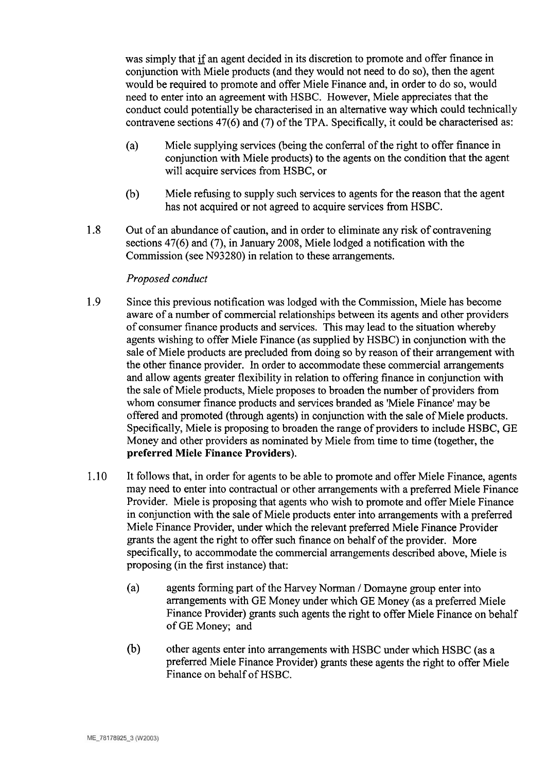was simply that **if** an agent decided in its discretion to promote and offer finance in conjunction with Miele products (and they would not need to do so), then the agent would be required to promote and offer Miele Finance and, in order to do so, would need to enter into an agreement with HSBC. However, Miele appreciates that the conduct could potentially be characterised in an alternative way which could technically contravene sections 47(6) and (7) of the TPA. Specifically, it could be characterised as:

- (a) Miele supplying services (being the conferral of the right to offer finance in conjunction with Miele products) to the agents on the condition that the agent will acquire services from HSBC, or
- (b) Miele refusing to supply such services to agents for the reason that the agent has not acquired or not agreed to acquire services from HSBC.
- 1.8 Out of an abundance of caution, and in order to eliminate any risk of contravening sections 47(6) and (7), in January 2008, Miele lodged a notification with the Commission (see N93280) in relation to these arrangements.

## *Proposed conduct*

- 1.9 Since this previous notification was lodged with the Commission, Miele has become aware of a number of commercial relationships between its agents and other providers of consumer finance products and services. This may lead to the situation whereby agents wishing to offer Miele Finance (as supplied by HSBC) in conjunction with the sale of Miele products are precluded from doing so by reason of their arrangement with the other finance provider. In order to accommodate these commercial arrangements and allow agents greater flexibility in relation to offering finance in conjunction with the sale of Miele products, Miele proposes to broaden the number of providers from whom consumer finance products and services branded as 'Miele Finance' may be offered and promoted (through agents) in conjunction with the sale of Miele products. Specifically, Miele is proposing to broaden the range of providers to include HSBC, GE Money and other providers as nominated by Miele from time to time (together, the preferred Miele Finance Providers).
- 1.10 It follows that, in order for agents to be able to promote and offer Miele Finance, agents may need to enter into contractual or other arrangements with a preferred Miele Finance Provider. Miele is proposing that agents who wish to promote and offer Miele Finance in conjunction with the sale of Miele products enter into arrangements with a preferred Miele Finance Provider, under which the relevant preferred Miele Finance Provider grants the agent the right to offer such finance on behalf of the provider. More specifically, to accommodate the commercial arrangements described above, Miele is proposing (in the first instance) that:
	- (a) agents forming part of the Harvey Norman / Domayne group enter into arrangements with GE Money under which GE Money (as a preferred Miele Finance Provider) grants such agents the right to offer Miele Finance on behalf of GE Money; and
	- (b) other agents enter into arrangements with HSBC under which HSBC (as a preferred Miele Finance Provider) grants these agents the right to offer Miele Finance on behalf of HSBC.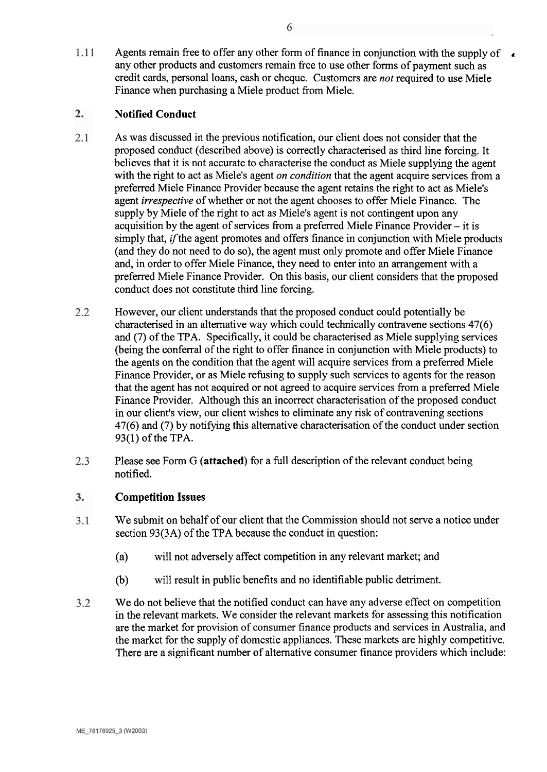Agents remain free to offer any other form of finance in conjunction with the supply of  $\bullet$ 1.11 any other products and customers remain free to use other forms of payment such as credit cards, personal loans, cash or cheque. Customers are *not* required to use Miele Finance when purchasing a Miele product from Miele.

#### $2.$ **Notified Conduct**

- As was discussed in the previous notification, our client does not consider that the  $2.1$ proposed conduct (described above) is correctly characterised as third line forcing. It believes that it is not accurate to characterise the conduct as Miele supplying the agent with the right to act as Miele's agent *on condition* that the agent acquire services from a preferred Miele Finance Provider because the agent retains the right to act as Miele's agent *irrespective* of whether or not the agent chooses to offer Miele Finance. The supply by Miele of the right to act as Miele's agent is not contingent upon any acquisition by the agent of services from a preferred Miele Finance Provider  $-$  it is simply that, *if* the agent promotes and offers finance in conjunction with Miele products (and they do not need to do so), the agent must only promote and offer Miele Finance and, in order to offer Miele Finance, they need to enter into an arrangement with a preferred Miele Finance Provider. On this basis, our client considers that the proposed conduct does not constitute third line forcing.
- $2.2$ However, our client understands that the proposed conduct could potentially be characterised in an alternative way which could technically contravene sections 47(6) and (7) of the TPA. Specifically, it could be characterised as Miele supplying services (being the conferral of the right to offer finance in conjunction with Miele products) to the agents on the condition that the agent will acquire services from a preferred Miele Finance Provider, or as Miele refusing to supply such services to agents for the reason that the agent has not acquired or not agreed to acquire services from a preferred Miele Finance Provider. Although this an incorrect characterisation of the proposed conduct in our client's view, our client wishes to eliminate any risk of contravening sections 47(6) and (7) by notifying this alternative characterisation of the conduct under section 93(1) of the TPA.
- Please see Form G (attached) for a full description of the relevant conduct being 2.3 notified.

#### $\overline{3}$ . **Competition Issues**

- We submit on behalf of our client that the Commission should not serve a notice under  $3.1$ section 93(3A) of the TPA because the conduct in question:
	- (a) will not adversely affect competition in any relevant market; and
	- (b) will result in public benefits and no identifiable public detriment.
- $3.2$ We do not believe that the notified conduct can have any adverse effect on competition in the relevant markets. We consider the relevant markets for assessing this notification are the market for provision of consumer finance products and services in Australia, and the market for the supply of domestic appliances. These markets are highly competitive. There are a significant number of alternative consumer finance providers which include: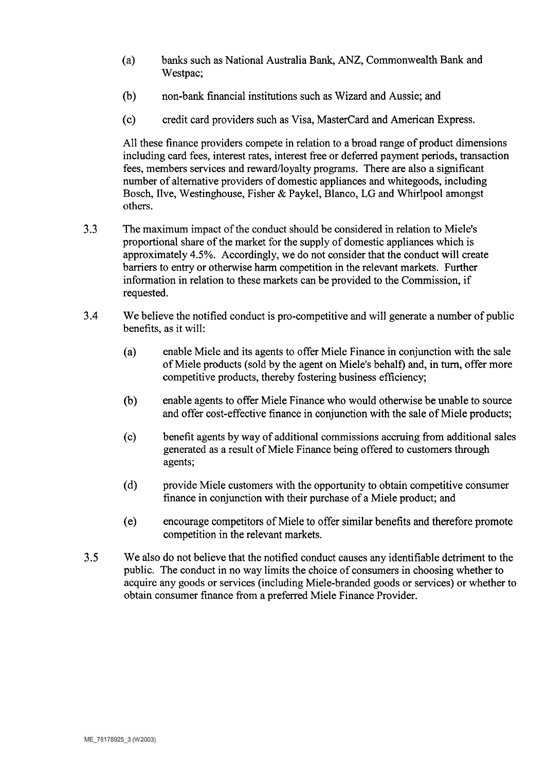- (a) banks such as National Australia Bank, ANZ, Commonwealth Bank and Westpac;
- (b) non-bank financial institutions such as Wizard and Aussie; and
- (c) credit card providers such as Visa, MasterCard and American Express.

All these finance providers compete in relation to a broad range of product dimensions including card fees, interest rates, interest free or deferred payment periods, transaction fees, members services and reward/loyalty programs. There are also a significant number of alternative providers of domestic appliances and whitegoods, including Bosch, Ilve, Westinghouse, Fisher & Paykel, Blanco, LG and Whirlpool amongst others.

- **3.3** The maximum impact of the conduct should be considered in relation to Miele's proportional share of the market for the supply of domestic appliances which is approximately **4.5%.** Accordingly, we do not consider that the conduct will create barriers to entry or otherwise harm competition in the relevant markets. Further information in relation to these markets can be provided to the Commission, if requested.
- **3.4** We believe the notified conduct is pro-competitive and will generate a number of public benefits, as it will:
	- (a) enable Miele and its agents to offer Miele Finance in conjunction with the sale of Miele products (sold by the agent on Miele's behalf) and, in turn, offer more competitive products, thereby fostering business efficiency;
	- (b) enable agents to offer Miele Finance who would otherwise be unable to source and offer cost-effective finance in conjunction with the sale of Miele products;
	- (c) benefit agents by way of additional commissions accruing from additional sales generated as a result of Miele Finance being offered to customers through agents;
	- (d) provide Miele customers with the opportunity to obtain competitive consumer finance in conjunction with their purchase of a Miele product; and
	- (el encourage competitors of Miele to offer similar benefits and therefore promote competition in the relevant markets.
- **3.5** We also do not believe that the notified conduct causes any identifiable detriment to the public. The conduct in no way limits the choice of consumers in choosing whether to acquire any goods or services (including Miele-branded goods or services) or whether to obtain consumer finance from a preferred Miele Finance Provider.